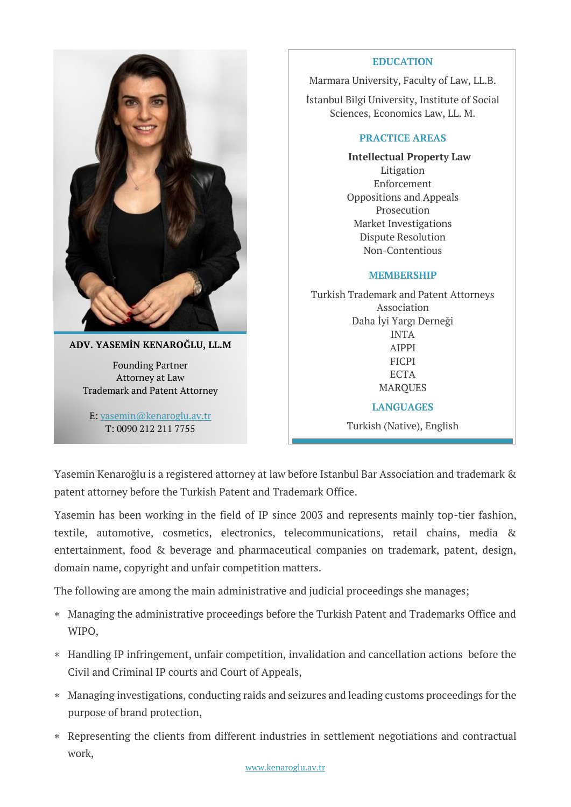

Founding Partner Attorney at Law Trademark and Patent Attorney

E: [yasemin@kenaroglu.av.tr](file:///C:/Users/Oznur/Desktop/yasemin@kenaroglu.av.tr) T: 0090 212 211 7755

## **EDUCATION**

Marmara University, Faculty of Law, LL.B.

İstanbul Bilgi University, Institute of Social Sciences, Economics Law, LL. M.

## **PRACTICE AREAS**

**Intellectual Property Law** Litigation Enforcement Oppositions and Appeals Prosecution Market Investigations Dispute Resolution Non-Contentious

## **MEMBERSHIP**

Turkish Trademark and Patent Attorneys Association Daha İyi Yargı Derneği INTA AIPPI FICPI **ECTA** MARQUES **LANGUAGES** Turkish (Native), English

Yasemin Kenaroğlu is a registered attorney at law before Istanbul Bar Association and trademark & patent attorney before the Turkish Patent and Trademark Office.

Yasemin has been working in the field of IP since 2003 and represents mainly top-tier fashion, textile, automotive, cosmetics, electronics, telecommunications, retail chains, media & entertainment, food & beverage and pharmaceutical companies on trademark, patent, design, domain name, copyright and unfair competition matters.

The following are among the main administrative and judicial proceedings she manages;

- Managing the administrative proceedings before the Turkish Patent and Trademarks Office and WIPO,
- Handling IP infringement, unfair competition, invalidation and cancellation actions before the Civil and Criminal IP courts and Court of Appeals,
- Managing investigations, conducting raids and seizures and leading customs proceedings for the purpose of brand protection,
- Representing the clients from different industries in settlement negotiations and contractual work,